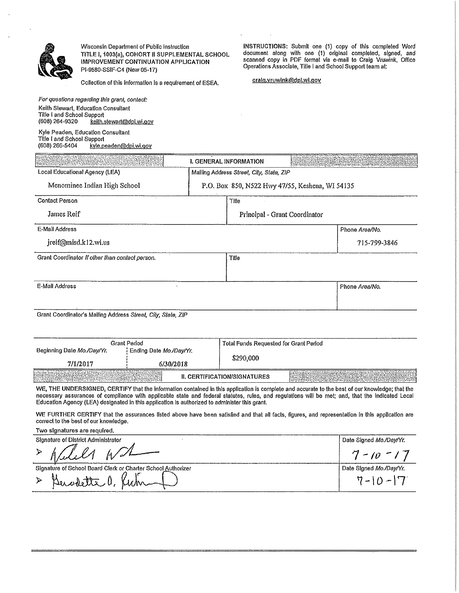

Wisconsin Department of Public Instruction TITLE I, 1003(a), COHORT II SUPPLEMENTAL SCHOOL IMPROVEMENT CONTINUATION APPLICATION Pl-9580-SSIF-C4 (New 05-17)

Collection of this information is a requirement of ESEA. cralg.vruwlnk@dpl.wl.gov

For questions regarding this grant, contact: Keith Stewart, Education Consultant

INSTRUCTIONS: Submit one (1) copy of this completed Word document along with one (1) original completed, signed, and scanned copy In PDF formal via e-mail to Craig Vruwink, Office Operations Associate, Tille I and School Support team at:

| Keith Stewart, Education Consultant<br>Title I and School Support<br>(608) 264-9320<br>keith, stewart@dpl.wi.gov |                                          |                                                 |                |
|------------------------------------------------------------------------------------------------------------------|------------------------------------------|-------------------------------------------------|----------------|
| Kyle Peaden, Education Consultant<br>Title I and School Support<br>(608) 266-5404<br>kyle.peaden@dpi.wi.qov      |                                          |                                                 |                |
| an an ann an Chàidhlig ann an Chaidhlig                                                                          | I. GENERAL INFORMATION                   |                                                 |                |
| Local Educational Agency (LEA)                                                                                   | Mailing Address Street, City, State, ZIP |                                                 |                |
| Menominee Indian High School                                                                                     |                                          | P.O. Box 850, N522 Hvy 47/55, Keshena, WI 54135 |                |
| <b>Contact Person</b>                                                                                            | Tille                                    |                                                 |                |
| James Reif                                                                                                       |                                          | Principal - Grant Coordinator                   |                |
| E-Mail Address                                                                                                   |                                          |                                                 | Phone Area/No. |

| jreif@misd.k12.wi.us                            |       | 715-799-3846   |
|-------------------------------------------------|-------|----------------|
| Grant Coordinator II other than contact person. | Title |                |
| E-Mail Address                                  |       | Phone Area/No. |

Grant Coordinator's Malling Address Street, City, Slate, ZIP

|                                                                                                                                                                                                                                | Grant Perlod            | Total Funds Requested for Grant Period |                                                                                                                                                                                                                                                                                                                                                                                                                                                    |
|--------------------------------------------------------------------------------------------------------------------------------------------------------------------------------------------------------------------------------|-------------------------|----------------------------------------|----------------------------------------------------------------------------------------------------------------------------------------------------------------------------------------------------------------------------------------------------------------------------------------------------------------------------------------------------------------------------------------------------------------------------------------------------|
| Beginning Date Mo./Day/Yr.                                                                                                                                                                                                     | Ending Date Mo./Day/Yr. | \$290,000                              |                                                                                                                                                                                                                                                                                                                                                                                                                                                    |
| 7/1/2017                                                                                                                                                                                                                       | 6/30/2018               |                                        |                                                                                                                                                                                                                                                                                                                                                                                                                                                    |
| and the company of the company of the company of the company of the company of the company of the company of the company of the company of the company of the company of the company of the company of the company of the comp |                         | II. CERTIFICATION/SIGNATURES           | $\label{eq:reco} \begin{minipage}{0.9\linewidth} \begin{minipage}{0.9\linewidth} \hline \textbf{1} & \textbf{1} & \textbf{1} & \textbf{1} \\ \textbf{1} & \textbf{1} & \textbf{1} & \textbf{1} \\ \textbf{1} & \textbf{1} & \textbf{1} & \textbf{1} \\ \textbf{1} & \textbf{1} & \textbf{1} & \textbf{1} \\ \textbf{1} & \textbf{1} & \textbf{1} & \textbf{1} \\ \textbf{1} & \textbf{1} & \textbf{1} & \textbf{1} \\ \textbf{1} & \textbf{1} & \$ |

WE, THE UNDERSIGNED, CERTIFY that the Information contained in this application is complete and accurate to the best of our knowledge: that the necessary assurances of compliance with applicable state and federal statutes, rules, and regulations wlll be met; and, that the Indicated Local Education Agency (LEA) designated in this application is authorized to administer this grant.

WE FURTHER CERTIFY that the assurances listed above have been satisfied and that all facts, figures, and representation in this application are correct to the best of our knowledge.

Two signatures are required,

Signature of District Administrator Date Signed Mo./Oay/Yr.  $>$  Africa Administrator  $7 - 10 - 17$ Date Signed Mo./Day/Yr. Signature of School Board Clerk of Charter School Authorizer > Buskette a, Ruti  $7 - 10 - 7$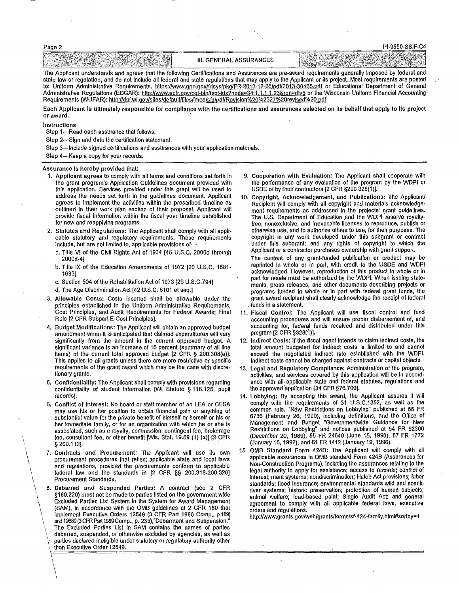|                                                                                                                                                             |                                     | יש ונשט שטש                                                                                                                                                                                                                      |
|-------------------------------------------------------------------------------------------------------------------------------------------------------------|-------------------------------------|----------------------------------------------------------------------------------------------------------------------------------------------------------------------------------------------------------------------------------|
| en a<br>Drakt<br>------<br><b>PARADICAL</b><br>wa chine wa shekara 2000 mata wa 2000 waishio mwaka 1992<br>the company's company's company's company's<br>. | <b>ASSURANCES</b><br><b>GENERAI</b> | $\ddot{\phantom{a}}$<br>.<br><b>Second Contract Contract</b><br>しんこうせい かんかんこうどう アイト・プラット<br>the second company of the contract and contract to the contract of the contract of<br>the company of the company of the company<br>. |

The Applicant understands and agrees that the following Certifications and Assurances are pre-award requirements generally Imposed by federai and state law or regulation, and do not include all federal and state regulations that may apply to the Applicant or its project. Most requirements are posted to: Uniform Administrative Requirements. https://www.gpo.gov/fdsys/pkg/FR-2013-12-26/pdf/2013-30465.pdf or Educational Department of General Administrative Regulations (EDGAR): http://www.ecfr.gov/cql-bln/text-idx?node=34:1.1.1.1.23&rgn=div5 or the Wisconsin Uniform Financial Accounting Requirements (WÜFAR): http://dpi.wi.gov/sites/default/files/imce/sfs/pdf/Revision%20%2327%20revised%20.pdf

Each Applicant is ultimately responsible for compliance with the certlflcallons and assurances selected on lts behalf that apply to Its project or award.

Instructions

Dono 2

 $\left\langle \cdot \right\rangle$  $\mathcal{L}$  $\int$ \  $\mathcal{E}$ \

> $\ddot{\phantom{a}}$  $\mathbf i$  $\mathcal{L}$  $\ddot{\phantom{1}}$

Step 1-Read each assurance that follows.

Step 2-Sign and date the certification statement.

Step 3-Include signed certifications and assurances with your application materials.

Step 4-Keep a copy for your records.

## Assurance Is hereby provided that:

- 1. Applicant agrees to comply with all terms and condlllons set forth In the grant program's Appllcallon Guidelines document provided with this application. Services provfded under this grant will be used to address the needs set forth in the guidelines document. Applicant agrees lo Implement the activllles within the prescribed limellne as outlined in their work plan section of their proposal. Applicant will provide fiscal information within the fiscal year tlmeline established for new and reapplying programs.
- 2. Statutes and Regulations: The Applicant shall comply with alt appll· cable. statutory and regulatory requirements. These requirements include, but are not limited to, applicable provisions of
	- a. Title VI of the Civil Rights Act of 1964 {45 U.S.C. 2000d through 2000d-4J
	- b. Title IX of the Education Amendments of 1972 [20 U.S.C. 1681- 1683)
	- c. Section 504 of the Rehabilitation Act of 1973 [29 U.S.C.794]
	- d. The Age Discrimination Act (42 U.S.C. 6101 el seq.]
- 3. Allowable Costs: Costs Incurred shall be allowable under the principles established in the Uniform Administrative Requirements, Cost Principles, and Audit Requirements for Federal Awards; Final Rule (2 CFR Subpart E-Cost Principles].
- 4. Budget Modifications: The Applicant will obtain an approved budget amendment when It Is anticipated that claimed expenditures wlll vary significantly from the amount in the current approved budget. A significant variance Is an Increase of 10 percent (summary of all line Items) of the current total approved budget (2 CFR § 200.308{e)J. This applies to all grants unless there are more restrictive or specific requirements of the grant award which may be the case with discretionary grants.
- 5. Confidentiality: The Applicant shall comply with provisions regarding confidentiality of student information [WI Statute § 118.125, pupil records).
- 6. Conflict of Interest: No board or staff member of an LEA or CESA may use his or her position to obtain financial gain or anything of substantial value for the private benefit of himself or herself or his or her immediate family, or for an organization with which he or she is associated, such as a royalty, commission, contingent fee, brokerage fee, consultant fee, or other benefit (Wis. Slat. 19.59 (1) (a)) {2 CFR § 200.112].
- 7. Contracts and Procurement: The Applicant will use its own procurement procedures that reflect applicable state and local laws and regulations, provided the procurements conform to applicable federal law and the standards in (2 CFR §§ 200.318-200.326] Procurement Standards.
- \ 8. Debarred and Suspended Parties: A contract (see 2 CFR §180.220) must not be made to parties listed on the government wide Excluded Parties List System in the System for Award Management \ (SAM), In accordance with the OMB guidelines at 2 CFR 180 that implement Executive Orders 12549 (3 CFR Part 1986 Comp., p 189) ard 12689 (3 CFR Part 1989 Comp., p. 235),"Debarment and Suspension." The Excluded Parties List in SAM contains the names of parties debarred, suspended, or otherwise excluded by agencies, as well as parties declared ineligible under statutory or regulatory authority other than Executive Order 12549.
- 9. Cooperation with Evaluation: The Applicant shall cooperate with the performance of any evaluation of the program by the WDPI or USDE or by their contractors (2 CFR §200.328(1)}.
- 10. Copyright, Acknowledgement, and Publications: The AppllcanV Recipient will comply with all. copyright and materials acknowledgement requirements as addressed In the projects' grant guidelines. The U.S. Department of Education and the WDPI reserve royallyfree, nonexclusive, and Irrevocable licenses to reproduce, publish or otherwise use, and to authorize others to use, for their purposes. The copyright in any work developed under this subgrant or contract under this subgrant; and any rights of copyright to .which the Applicant or a contractor purchases ownership with grant support.

The content of any grant-funded publication or product may be reprinted In whole or In part, with credit lo the USDE and WDPI acknowledged. However, reproduction of this product In whole or In part for resale must be authorized by the WDPI. When issuing statements, press releases, and other documents describing projects or programs funded In whole or in part with federal grant funds, the grant award recipient shall clearly acknowledge the receipt of federal . funds in a statement.

- 11. Fiscal Control: The Applicant will use fiscal control and fund accounting procedures and will ensure proper disbursement of, and accounting for, federal funds received and distributed under this program (2 CFR §328(1)].
- 12. Indirect Costs: If the fiscal agent intends to claim Indirect costs, the total amount budgeted for Indirect costs Is limited to and cannot exceed the negotiated indirect rate established with the WDPI. Indirect costs cannot be charged againsi contracts or capital objects.
- 13. Legal and Regulatory Compliance: Administration of the program, activities, and services covered by this application will be in accordance with all applicable state and federal statutes, regulations and the approved application [34 CFR §76.700].
- 14. Lobbying: By accepting this award, the Applicant assures it will comply with the requirements of 31 U.S.C.1352, as well as the common rule, "New Restrictions on Lobbying" published at 55 FR 6736 (February 26, 1990), Including definitions, and the Office of Management and Budget "Governmentwide Guidance for New Restrictions on lobbying" and notices published at 54 FR 52306 (December 20, 1989), 55 FR 24540 (June 15, 1990), 57 FR 1772 (January 15, 1992), and 61FR1412(January19, 1996).
- 15. OMB Standard Form 424B: The Applicant will comply with all applicable assurances In OMB standard Form 4246 (Assurances for Non-Construction Programs), including the assurances relating lo the legal authority to apply for assistance; access to records; conflict of Interest; merit systems; nondiscrimination; Hatch Act provisions; labor standards; flood insurance; environmental standards wild and scenic river systems; 'historic preservation; protection of human subjects; animal welfare; lead-based paint; Single Audit Act; and general agreement to comply with all applicable federal laws, executive orders and regulations.

http://www.grants.gov/web/grants/forms/sf-424-family.html#sortby=1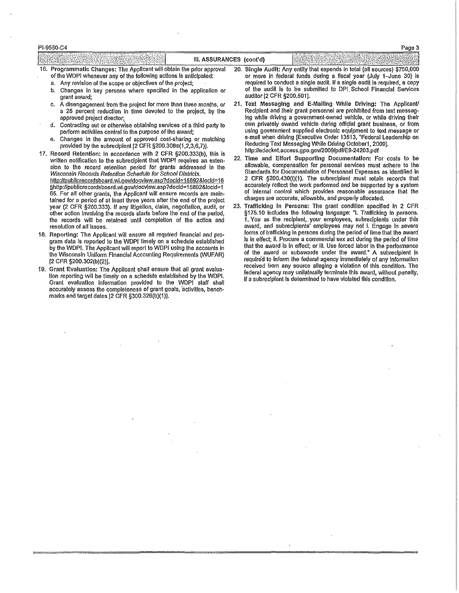## Pl-9550-C4

| $-22.5$                                                                     | (cont'd)<br>ASSURANCES |                                                                        |
|-----------------------------------------------------------------------------|------------------------|------------------------------------------------------------------------|
| 16. F<br>Programmatic Changes: The Applicant Will obtain the prior approval | 20.                    | Single Audit: Any entity that expends in total (all sources) \$750,000 |

- of the WDPI whenever any of the following actions is anticipated:
- 
- b. Changes in key persons where specified in the application or grant award;<br>grant award;<br>A disengagement from the project for more than three months, or 21. Text Messaging and E-Malling While Driving: The Applicant/
- c. A disengagement from the project for more than three months, or a 25 percent reduction in time devoted to the project, by the
- 
- 
- 17. Record Retention: In accordance with 2 CFR §200.333(b), this is http://edocket.access.gpo.gov/200Wpdf/E9-24203.pdf<br>written notification to the subrecipient that MIDPL requires an exten. 22. Time and Effort Supporting D 65. For all other grants, the Applicant will ensure records are main-<br>talned for a period of at lasst three vears after the end of the project charges are accurate, allowable, and properly allocated. tained for a period of at least three years after the end of the project charges are accurate, allowable, and properly allocated.<br>Vear (2 CER \$200.333), If any litination, claim, negotiation, audit or 23. Trafficking in Pe the records will be retained until completion of the action and resolution of all issues.
- the Wisconsin Uniform Financial Accounting Requirements (WUFAR) [2 CFR § 200.302(b)(2)].
- tion reporting will be timely on a schedule established by the WDPI. Federal agency may unique any terminate this award, without performance this award, without penalty of a subrecipient is determined to have violated this Grant evaluation information provided to the WDPI staff shall accurately assess the completeness of grant goals, 'activities, bench· marks and target dates [2 CFR §300.328(b)(1)].
- of the WDPI whenever any of the following actions is anticipated: or more in federal funds during a fiscal year (July 1-June 30) is<br>a. Any revision of the scope or objectives of the project; required to conduct a single au required to conduct a single audit. If a single audit is required, a copy of the audit is to be submitted to DPI School Financial Services
- a 25 percent reduction in time devoted to the project, by the Recipient and their grant personnel are prohibited from text messag-<br>Ing while driving a government-owned vehicle, or while driving their ing while driving a government-owned vehicle, or while driving their<br>own privately owned vehicle during official grant business, or from d. Contracting out or otherwise obtaining services of a third party to own privately owned vehicle during official grant business, or from privately owned vehicle during official grant business, or from perform activities perform activilies central to the purpose of the award; using government supplied electronic equipment to text message or<br>Changes in the amount of consoved cest shoring or motobias e-mail when driving IExecutive Order 1351 e. Changes in the amount of approved cost-sharing or matching e-mail when driving [Executive Order 13513, "Federal Le<br>https://www.inference.org/ip or matchip on Reducing Text Messaging While Driving October 1, 2009]. provided by the subrecipient (2 CFR §200.308€(1,2,3,6,7)). Reducing Text Messaging While Driving October1, 20<br>http://edocket.access.gpo.gov/2009/pdf/E9-24203.pdf
- written notification to the subrecipient that WDPI requires an exten- 22. Time and Effort Supporting Documentation: For costs to be<br>sign to the repeate releasing ported for graphs addressed in the allowable, compensation f sion to the record retention period for grants addressed in the allowable, compensation for personal services must adhere to the<br>Wisconsin Becards Retention Schedule for School Districts Standards for Documentation of Pers Wisconsin Records Retention Schedule for School Districts. Standards for Documentation of Personnel Expenses as identified in<br>http://oublicrecordshoord.vi.gov/documentary/2004-15892810cid=16 2 CFR §200.430(i)(1). The subre http://publicrecordsboard.wi.gov/docview.asp?docid=15892&locid=16 2 CFR §200.430(I)(1). The subrecipient must retain records that<br>Ehttp://publicrecordsboard.wi.gov/docview.asp?docid=15892&locid=1 §.http://publicrecordsboard.wi.gov/docvlew.asp?doc!d=15892&1ocid=1 accurately reflect the work performed and be supported by a system
- year (2 CFR §200.333). If any litigation, claim, negotlation, audit, or 23. Trafficking in Persons: The grant condition specified in 2 CFR solution specified in 2 CFR<br>other action involving the records starts before the en other action involving the records starts before the end of the period, starts and the following language: "I. Trafficking in persons.<br>the records will be retained until completion of the action and the Man as the recipien award, and subrecipients' employees may not I. Engage In severe<br>forms of trafficking in persons during the period of time that the award 18. Reporting: The Applicant will ensure all required financial and pro- forms of trafficking in persons during the period of time that the award<br>Is in effect; ii. Procure a commercial sex act during the period of time gram data is reported to the WDPI timely on a schedule established Is in effect; ii. Procure a commercial sex act during the period of time<br>In the WDPL The Applicant will report to WDPL using the accounts in Ital the award by the WDPI. The Applicant will report to WDPI using the accounts in that the award is in effect; or ill. Use forced labor in the performance<br>the Wisconsin Uniform Einancial Accounting Bequirements (MUEAR) of the award or required to inform the federal agency immediately of any information<br>received from any source alleging a violation of this condition. The 19. Grant Evaluation: The Applicant shall ensure that all grant evalua-<br>Federal agency may unilaterally terminate this award, without penalty,

Page 3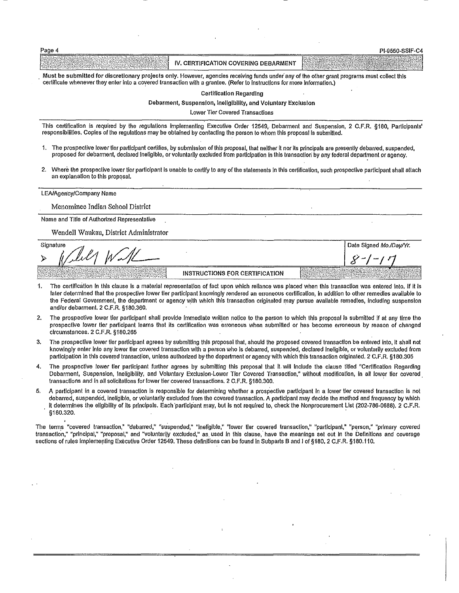| Page 4                                                                                                                                                                                                                                                                   |                                      | PI-9550-SSIF-C4 |
|--------------------------------------------------------------------------------------------------------------------------------------------------------------------------------------------------------------------------------------------------------------------------|--------------------------------------|-----------------|
|                                                                                                                                                                                                                                                                          | IV, CERTIFICATION COVERING DEBARMENT |                 |
| Must be submitted for discretionary projects only. However, agencies receiving funds under any of the other grant programs must collect this<br>certificate whenever they enter into a covered transaction with a grantee. (Refer to instructions for more information.) |                                      |                 |

Certification Regarding

Debarment, Suspension, Ineligibility, and Voluntary Exclusion

Lower Tier Covered Transactions

This certification is required by the regulations implementing Executive Order 12549, Debarment and Suspension, 2 C.F.R. §180, Participants' responslbllilles. Coples of the regulations may be obtained by contacting the person to whom this proposal is submitted.

- 1. The prospective lower tier participant certifies, by submission of this proposal, that neither it nor its principals are presently debarred, suspended, proposed for debarment, declared ineligible, or voluntarily excluded from participation in this transaction by any federal department or agency.
- 2. Where the prospective lower tier participant is unable to certify to any of the statements in this certification, such prospective participant shall attach an explanation to this proposal.

LEA/Agency/Company Name

Menominee Indian School District

Name and Title of Authorized Representative

Wendell Waukau, District Administrator

Signature Date Slaned Mo./DawYr. INSTRUCTIONS FOR CERTIFICATION

- 1. The certification in this clause Is a material representation of fact upon which reliance was placed when this transaction was entered into. If It Is later determined that the prospective lower tier participant knowingly rendered an erroneous certification, In addition to other remedies available to the Federal Government, the department or agency with which this transaction originated may pursue available remedies, including suspension and/or debarment. 2 C.F.R. §180.360.
- 2. The prospective lower tier participant shall provide Immediate written notice to the person to which this proposal Is submitted if at any time the prospective lower tier participant learns that its certification was erroneous when submitted or has become erroneous by reason of changed circumstances. 2 C.F.R. §180.265
- 3. The prospective lower tier participant agrees by submitting this proposal that, should the proposed covered transaction be entered into, it shall not knowingly enter into any lower lier covered transaction with a person who is debarred, suspended, declared Ineligible, or voluntarily excluded from participation in this covered transaction, unless authorized by the department or agency with which this transaction originated. 2 C.F.R. §180.305
- 4. The prospective lower tier participant further agrees by submitting this proposal that It will include the clause titled "Certification Regarding Debarment, Suspension, Ineligibility, and Voluntary Exclusion-Lower Tier Covered Transaction," without modification, In all lower tier covered transactions and in all solicitations for lower tier covered transactions. 2 C.F.R. §180.300.
- 5. A participant In a covered transaction is responsible for determining whether a prospective participant In a lower lier covered transaction Is not debarred, suspended, ineligible, or voluntarily excluded from the covered transaction. A participant may decide the method and frequency by which it determines the eligibility of Its principals. Each participant may, but is not required to, check the Nonprocurement List (202-786-0688). 2 C.F.R.<br>§180.320. §180.320. .

The terms "covered transaction," "debarred," "suspended," "Ineligible," "lower tier covered transaction," "participant," "person," "primary covered transaction," "principal," "proposal," and "voluntarily excluded," as used in this clause, have the meanings set out in the Definitions and coverage sections of rules implementing Executive Order 12549. These definitions can be found in Subparts B and I of §180, 2 C.F.R. §180.110.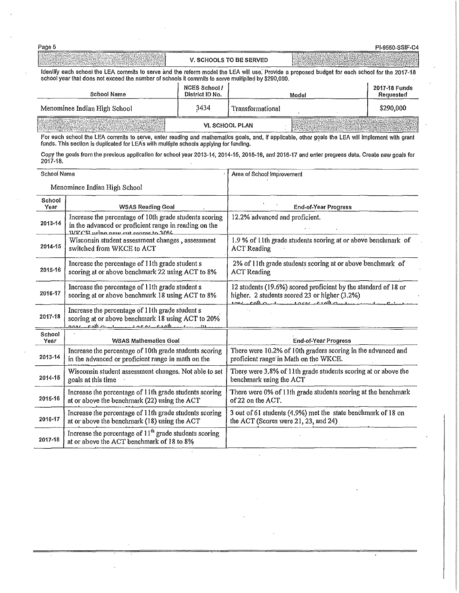| Page 5                                                                                                                                                                                                                                                |                                         |                         |       | PI-9550-SSIF-C4            |
|-------------------------------------------------------------------------------------------------------------------------------------------------------------------------------------------------------------------------------------------------------|-----------------------------------------|-------------------------|-------|----------------------------|
|                                                                                                                                                                                                                                                       |                                         | V. SCHOOLS TO BE SERVED |       |                            |
| Identify each school the LEA commits to serve and the reform model the LEA will use. Provide a proposed budget for each school for the 2017-18<br>school year that does not exceed the number of schools it commits to serve multiplied by \$290,000. |                                         |                         |       |                            |
| <b>School Name</b>                                                                                                                                                                                                                                    | <b>NCES School /</b><br>District ID No. |                         | Model | 2017-18 Funds<br>Requested |
| Menominee Indian High School                                                                                                                                                                                                                          | 3434                                    | Transformational        |       | \$290,000                  |
| - TAGARA UTAR SERIAKAN D                                                                                                                                                                                                                              |                                         | VI. SCHOOL PLAN         |       |                            |

For each school the LEA commits to serve, enter reading and mathematics goals, and, if applicable, other goals the LEA will implement with grant funds. This section is duplicated for LEA's with multiple schools applying fo

Copy the goals from the previous application for school year 2013-14, 2014-15, 2015-16, and 2016-17 and enter progress data. Create new goals for<br>2017-18.

| School Name    |                                                                                                                                                      | Area of School Improvement                                                                                                                                                                              |
|----------------|------------------------------------------------------------------------------------------------------------------------------------------------------|---------------------------------------------------------------------------------------------------------------------------------------------------------------------------------------------------------|
|                | Menominee Indian High School                                                                                                                         |                                                                                                                                                                                                         |
| School<br>Year | <b>WSAS Reading Goal</b>                                                                                                                             | <b>End-of-Year Progress</b>                                                                                                                                                                             |
| 2013-14        | Increase the percentage of 10th grade students scoring<br>in the advanced or proficient range in reading on the<br>WIKCH using new out ecores to 30% | 12.2% advanced and proficient.                                                                                                                                                                          |
| 2014-15        | Wisconsin student assessment changes, assessment<br>switched from WKCE to ACT                                                                        | 1.9 % of 11th grade students scoring at or above benchmark of<br><b>ACT</b> Reading                                                                                                                     |
| 2015-16        | Increase the percentage of 11th grade student s<br>scoring at or above benchmark 22 using ACT to 8%                                                  | 2% of 11th grade students scoring at or above benchmark of<br><b>ACT</b> Reading                                                                                                                        |
| 2016-17        | Increase the percentage of 11th grade student s<br>scoring at or above benchmark 18 using ACT to 8%                                                  | 12 students (19.6%) scored proficient by the standard of 18 or<br>higher, 2 students scored 23 or higher (3.2%)<br>$1.201 \cdot \text{cosh}$ and $1.051 \cdot \text{cosh}$ and $0.01 \cdot \text{cosh}$ |
| 2017-18        | Increase the percentage of 11th grade student s<br>scoring at or above benchmark 18 using ACT to 20%<br>annevent margin av acception and margin      |                                                                                                                                                                                                         |
| School<br>Year | <b>WSAS Mathematics Goal</b>                                                                                                                         | <b>End-of-Year Progress</b>                                                                                                                                                                             |
| $2013 - 14$    | Increase the percentage of 10th grade students scoring<br>in the advanced or proficient range in math on the                                         | There were 10.2% of 10th graders scoring in the advanced and<br>proficient range in Math on the WKCE.                                                                                                   |
| 2014-15        | Wisconsin student assessment changes. Not able to set<br>goals at this time                                                                          | There were 3.8% of 11th grade students scoring at or above the<br>benchmark using the ACT                                                                                                               |
| 2015-16        | Increase the percentage of 11th grade students scoring<br>at or above the benchmark (22) using the ACT                                               | There were 0% of 11th grade students scoring at the benchmark<br>of 22 on the ACT.                                                                                                                      |
| 2016-17        | Increase the percentage of 11th grade students scoring<br>at or above the benchmark (18) using the ACT                                               | 3 out of 61 students (4.9%) met the state benchmark of 18 on<br>the ACT (Scores were 21, 23, and 24)                                                                                                    |
| 2017-18        | Increase the percentage of $11th$ grade students scoring<br>at or above the ACT benchmark of 18 to 8%                                                |                                                                                                                                                                                                         |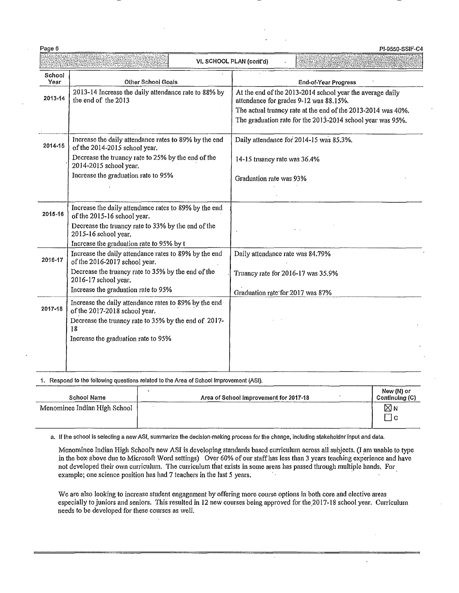Para Aort

 $\overline{a}$ 

|                |                                                                                        | VI, SCHOOL PLAN (cont'd)                                                                                                                                                                                                          |
|----------------|----------------------------------------------------------------------------------------|-----------------------------------------------------------------------------------------------------------------------------------------------------------------------------------------------------------------------------------|
| School<br>Year | <b>Other School Goals</b>                                                              | <b>End-of-Year Progress</b>                                                                                                                                                                                                       |
| 2013-14        | 2013-14 Increase the daily attendance rate to 88% by<br>the end of the 2013            | At the end of the 2013-2014 school year the average daily<br>attendance for grades 9-12 was 88.15%.<br>The actual truancy rate at the end of the 2013-2014 was 40%.<br>The graduation rate for the 2013-2014 school year was 95%. |
| 2014-15        | Increase the daily attendance rates to 89% by the end<br>of the 2014-2015 school year. | Daily attendance for 2014-15 was 85.3%.                                                                                                                                                                                           |
|                | Decrease the truancy rate to 25% by the end of the<br>2014-2015 school year.           | 14-15 truancy rate was 36.4%                                                                                                                                                                                                      |
|                | Increase the graduation rate to 95%                                                    | Graduation rate was 93%                                                                                                                                                                                                           |
| 2015-16        | Increase the daily attendance rates to 89% by the end<br>of the 2015-16 school year.   |                                                                                                                                                                                                                                   |
|                | Decrease the truancy rate to 33% by the end of the<br>2015-16 school year.             |                                                                                                                                                                                                                                   |
|                | Increase the graduation rate to 95% by t                                               |                                                                                                                                                                                                                                   |
| 2016-17        | Increase the daily attendance rates to 89% by the end<br>of the 2016-2017 school year. | Daily attendance rate was 84.79%                                                                                                                                                                                                  |
|                | Decrease the truancy rate to 35% by the end of the<br>2016-17 school year.             | Truancy rate for 2016-17 was 35.9%                                                                                                                                                                                                |
|                | Increase the graduation rate to 95%                                                    | Graduation rate for 2017 was 87%                                                                                                                                                                                                  |
| 2017-18        | Increase the daily attendance rates to 89% by the end<br>of the 2017-2018 school year. |                                                                                                                                                                                                                                   |
|                | Decrease the truancy rate to 35% by the end of 2017-<br>18                             |                                                                                                                                                                                                                                   |
|                | Increase the graduation rate to 95%                                                    |                                                                                                                                                                                                                                   |
|                |                                                                                        |                                                                                                                                                                                                                                   |

Dans

School Name Area of School Improvement for 2017-18 Menominee Indian High School New (N) or Continuing (C)  $\boxtimes$  N  $\Box$ c

a. If the school is selecting a new ASI, summarize the decision-making process for the change, Including stakeholder input and data.

Menominee Indian High School's new ASI is developing standards based curriculum across all subjects. (I am unable to type in the box above due to Microsoft Word settings) Over 60% of our staff has less than 3 years teaching experience and have not developed their own curriculum. The curriculum that exists in some areas has passed through multiple hands. For example; one science position has had 7 teachers in the last 5 years.

We are also looking to increase student engagement by offering more course options in both core and elective areas especially to juniors and seniors. This resulted in 12 new courses being approved for the 2017-18 school year. Curriculum needs to be developed for these courses as well.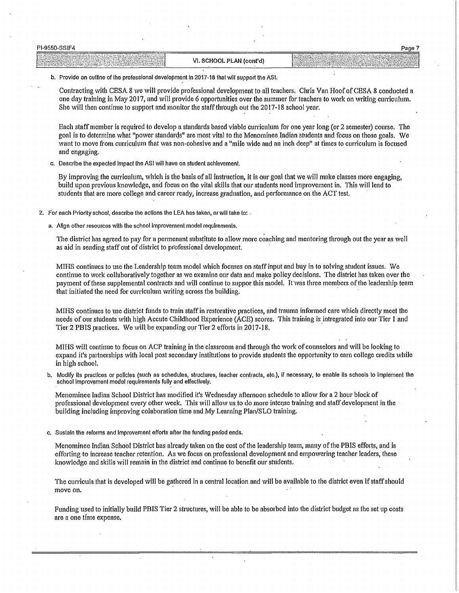| PI-9550-SSIF4                               |                                        | Page                                                                                                                                         |
|---------------------------------------------|----------------------------------------|----------------------------------------------------------------------------------------------------------------------------------------------|
| 1.9933<br>92.95.97<br>. SAMAN P<br>$-0.000$ | 儿AN (cont'd)<br>.,,<br>. SCHOOL I<br>Ð | 72233<br>The Windows<br>and the contract<br>$-2.5 - 7.5$<br>delivery than the detections of the con-<br><u> 1999 - Johann Barn, martin a</u> |

b. Provide an outline of the professional development In 2017-16 that wlll support the ASI.

Contracting with CESA 8 we will provide professional development to all teachers, Chris Van Hoof of CESA 8 conducted a one day training in May 2017, and will provide 6 opportunities over the summer for teachers to work on writing cuniculum. She will then continue to support and monitor the staff through out the  $2017-18$  school year.

Each staff member is required to develop a standards based viable curriculum for one year long (or 2 semester) course. The goal is to determine what "power standarqs" are most vital to the Menominee Indian students and focus on those goals. We want to move from curricuhun that was non-cohesive and a "mile wide and an inch deep" at times to curriculum is focused and engaging.

c. Describe the expected Impact the ASI will have on student achievement.

By improving the curriculum, which is the basis of all instruction, it is our goal that we will make classes more engaging, build upon previous knowledge, and focus on the vital skills that our students need improvement in. This will lead to students that are more college and career ready, increase graduation, and performance on the ACT test.

- 2. For each Priority school, describe the actions the LEA has taken, or will take to: .
	- a. Align other resources with the school Improvement model requirements.

The district has agreed to pay for a permenant substitute to allow more coaching and mentoring through out the year as well as aid in sending staff out of district to professional development.

MIHS continues to use the Leadership team model which focuses on staff input and buy in to solving student issues. We continue to work collaboratively together as we examine our data and make policy decisions. The district has taken over the payment of these supplemental contracts and will continue to suppor this model. It was three members of the leadership team that initiated the need for curriculum writing across the building. ·

MIHS continues to use district funds to train staff in restorative practices, and trauma infonned care which directly meet the needs of our students with high Accute Childhood Experience (ACE) scores. This training is intregrated into our Tier 1 and Tier 2 PBIS practices. We will be expanding our Tier 2 efforts in 2017-18.

MIHS will continue to focus on ACP training in the classroom and through the work of counselors and will be looking to expand it's partnerships with local post secondary institutions to provide students the opportunity to earn college credits while in high school.

b. Modify its practices or policies (such as schedules, structures, teacher contracts, etc.), if necessary, to enable its schools to implement the school Improvement model requirements fully and effectively.

Menominee Indian School District has modified it's Wednesday afternoon schedule to allow for a 2 hour block of professional development every other week. 111is will allow us.to do more·intense training and staff development in the building including improving colaboration time and My Leaming Plan/SLO training.

c. Sustain the reforms and Improvement efforts after the funding period ends.

Menominee Indian School District has already taken on the cost of the leadership team, many of the PBIS efforts, and is efforting to increase teacher retention. As we focus on professiona I development and empowering teacher leaders, these knowledge and skills will remain in the district and continue to benefit our students.

The curricula that is developed will be gathered in a central location and will be available to the district even if staff should move on.

Funding used to initially build PBIS Tier 2 structures, will be able to be absorbed into the district budget as the set up costs are a one time expense.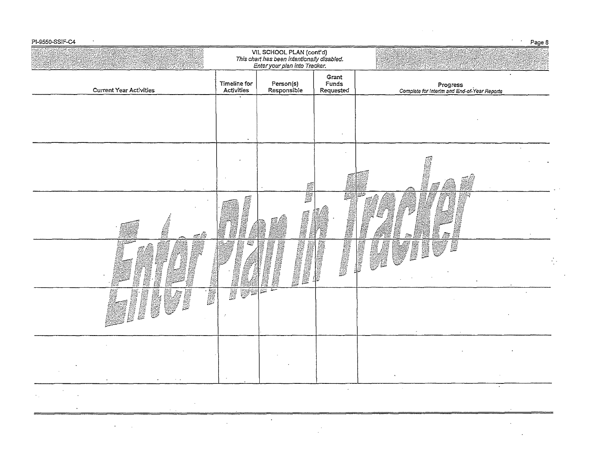| PI-9550-SSIF-C4                                                                            |                            |                                                                                                           |                             |                                                                                                                                               | Page 8 |
|--------------------------------------------------------------------------------------------|----------------------------|-----------------------------------------------------------------------------------------------------------|-----------------------------|-----------------------------------------------------------------------------------------------------------------------------------------------|--------|
|                                                                                            |                            | VII. SCHOOL PLAN (cont'd)<br>This chart has been intentionally disabled.<br>Enter your plan into Tracker. |                             |                                                                                                                                               |        |
| <b>Current Year Activities</b>                                                             | Timeline for<br>Activities | Person(s)<br>Responsible                                                                                  | Grant<br>Funds<br>Requested | Progress<br>Complete for Interim and End-of-Year Reports                                                                                      |        |
|                                                                                            |                            |                                                                                                           |                             |                                                                                                                                               |        |
|                                                                                            |                            |                                                                                                           |                             |                                                                                                                                               |        |
|                                                                                            |                            |                                                                                                           |                             |                                                                                                                                               |        |
|                                                                                            |                            | S                                                                                                         |                             | 精神科<br>Ø                                                                                                                                      |        |
|                                                                                            |                            | S.                                                                                                        | 59                          |                                                                                                                                               |        |
| j.<br>an A                                                                                 |                            |                                                                                                           | <b>RESERVE</b>              | S                                                                                                                                             |        |
|                                                                                            | 60                         |                                                                                                           |                             | おいに こうしゃ あいしゃ あいしゃ あいしゃ あいしゃ しょうかい しんしゃ しゅうかい しゅうかい しゅうかい しんしゃ しゅうかい しんしゃ しんしゃ しんしゃ しんしゃ しんしゃ<br><b>NESS</b><br><b>A</b><br>薪<br><b>Basic</b> |        |
|                                                                                            |                            | Research                                                                                                  | B                           | <b>Report</b>                                                                                                                                 |        |
| <b>NAMES</b><br>鸞<br><b>Theas</b><br>e de<br><b>REAL PROPERTY</b>                          | <b>A</b><br>ry R           | ست<br><b>BSM</b>                                                                                          |                             |                                                                                                                                               |        |
|                                                                                            | ÷,                         |                                                                                                           |                             |                                                                                                                                               |        |
|                                                                                            |                            |                                                                                                           |                             |                                                                                                                                               |        |
|                                                                                            |                            |                                                                                                           |                             |                                                                                                                                               |        |
| <b>Contract</b><br>$\sim$<br>$\sigma_{\rm 2D}$ and $\sigma_{\rm 2D}$ and $\sigma_{\rm 2D}$ |                            |                                                                                                           |                             |                                                                                                                                               |        |
|                                                                                            |                            |                                                                                                           |                             |                                                                                                                                               |        |

 $\mathcal{L}(\mathcal{L}^{\mathcal{L}})$  and  $\mathcal{L}^{\mathcal{L}}$  are the set of the set of  $\mathcal{L}^{\mathcal{L}}$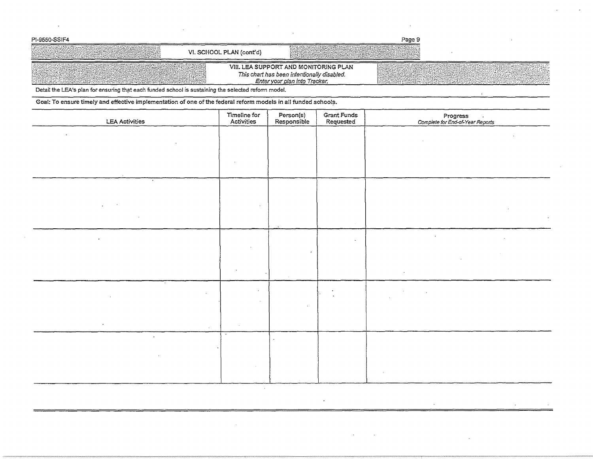| PI-9550-SSIF4                                                                                                                                                                                                                  |                          |                                                                                                                       | Page 9 |                                      |
|--------------------------------------------------------------------------------------------------------------------------------------------------------------------------------------------------------------------------------|--------------------------|-----------------------------------------------------------------------------------------------------------------------|--------|--------------------------------------|
| ACOMPLET AND STREET TO A REPORT OF THE REAL PROPERTY.                                                                                                                                                                          | VI. SCHOOL PLAN (cont'd) |                                                                                                                       |        |                                      |
| PARK AND A THREE WAS TO DELIVERED TO A THROUGH THAT A THROUGH THE RELATION OF THE RELATION OF THE THROUGH TH<br>THE RELATION OF THE RELATION OF THE RELATION OF THE RELATION OF THE RELATION OF THE RELATION OF THE RELATION O |                          | VIII. LEA SUPPORT AND MONITORING PLAN<br>This chart has been intentionally disabled.<br>Enter your plan into Tracker. |        | [120224] PROFIL COMPANY AND PROPERTY |

 $\sim$ 

Detail the LEA's plan for ensuring that each funded school is sustaining the selected reform model.

Goal: To ensure timely and effective implementation of one of the federal reform models in all funded schools.

| <b>LEA Activities</b> | Timeline for<br>Activities | Person(s)<br>Responsible | Grant Funds<br>Requested | Progress<br>Complete for End-of-Year Reports |
|-----------------------|----------------------------|--------------------------|--------------------------|----------------------------------------------|
|                       |                            |                          |                          |                                              |
|                       |                            |                          |                          |                                              |
|                       |                            |                          |                          |                                              |
|                       |                            |                          |                          |                                              |
|                       |                            |                          |                          |                                              |
|                       |                            |                          |                          | $\bullet$                                    |
| $\bullet$             |                            |                          | $\sim$                   |                                              |
|                       |                            |                          |                          |                                              |
|                       |                            |                          |                          |                                              |
| $\sim$                |                            |                          |                          | $\sim$                                       |
|                       |                            |                          |                          |                                              |
| $\sim$<br>$\cdot$     |                            |                          |                          |                                              |
| $\sim$                |                            |                          |                          |                                              |
|                       |                            |                          |                          |                                              |
|                       |                            |                          |                          |                                              |

 $\mathcal{A}^{\mathcal{A}}$ 

 $\epsilon$  $\bar{z}$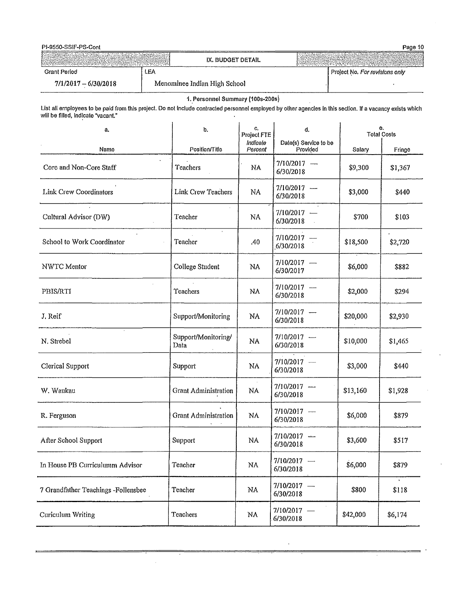| PI-9550-SSIF-PS-Cont   |                              | Page 10                                             |
|------------------------|------------------------------|-----------------------------------------------------|
|                        | IX. BUDGET DETAIL            | <del>대전 대표는 전국의 역사 전국 전문 전문 역사 선수 전문 전문</del> 전문 전문 |
| Grant Period           | LEA                          | Project No. For revisions only                      |
| $7/1/2017 - 6/30/2018$ | Menominee Indian High School |                                                     |

## 1. Personnel Summary (100s-200s)

List all employees to be paid from this project. Do not Include contracted personnel employed by other agencies In this section. If a vacancy exists which wlll be filled, lnd!cate "vacant."

| a.                                  | b.                          | С,<br>Project FTE   | d.                                | <b>Total Costs</b> | θ.                      |
|-------------------------------------|-----------------------------|---------------------|-----------------------------------|--------------------|-------------------------|
| Name                                | Position/Title              | Indicate<br>Percent | Date(s) Service to be<br>Provided | Salary             | Fringe                  |
| Core and Non-Core Staff             | <b>Teachers</b>             | NA                  | $7/10/2017 -$<br>6/30/2018        | \$9,300            | \$1,367                 |
| Link Crew Coordinators              | Link Crew Teachers          | NA                  | $7/10/2017$ -<br>6/30/2018        | \$3,000            | \$440                   |
| Cultural Advisor (DW)               | Teacher                     | NA                  | $7/10/2017 -$<br>6/30/2018        | \$700              | \$103                   |
| School to Work Coordinator          | $\mathcal{A}$<br>Teacher    | .40                 | $7/10/2017 -$<br>6/30/2018        | \$18,500           | \$2,720                 |
| NWTC Mentor                         | College Student             | NA                  | $7/10/2017 -$<br>6/30/2017        | \$6,000            | \$882                   |
| PBIS/RTI                            | Teachers                    | NA                  | $7/10/2017 -$<br>6/30/2018        | \$2,000            | \$294                   |
| J. Reif                             | Support/Monitoring          | NA                  | $7/10/2017 -$<br>6/30/2018        | \$20,000           | \$2,930                 |
| N. Strebel                          | Support/Monitoring/<br>Data | NA                  | $7/10/2017 -$<br>6/30/2018        | \$10,000           | \$1,465                 |
| Clerical Support                    | Support                     | NA                  | $7/10/2017 -$<br>6/30/2018        | \$3,000            | \$440                   |
| W. Waukau                           | <b>Grant Administration</b> | NA                  | $7/10/2017$ -<br>6/30/2018        | \$13,160           | \$1,928                 |
| R. Ferguson                         | <b>Grant Administration</b> | NA                  | $7/10/2017 -$<br>6/30/2018        | \$6,000            | \$879                   |
| After School Support                | Support                     | NA                  | $7/10/2017$ -<br>6/30/2018        | \$3,600            | \$517                   |
| In House PB Curriculumm Advisor     | Teacher                     | ${\rm NA}$          | 7/10/2017 —<br>6/30/2018          | \$6,000            | \$879                   |
| 7 Grandfather Teachings -Follensbee | Teacher                     | NA                  | $7/10/2017 -$<br>6/30/2018        | \$800              | $\blacksquare$<br>\$118 |
| Curiculum Writing                   | Teachers                    | NA                  | $7/10/2017 -$<br>6/30/2018        | \$42,000           | \$6,174                 |

 $\bar{\bar{z}}$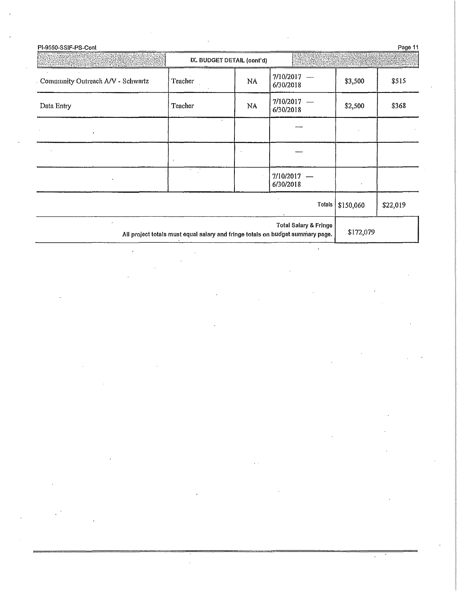| Community Outreach A/V - Schwartz<br>Teacher<br>NA<br>Teacher<br>NA            | 7/10/2017<br>6/30/2018<br>$7/10/2017 -$<br>6/30/2018 | \$3,500<br>\$2,500             | \$515<br>\$368 |
|--------------------------------------------------------------------------------|------------------------------------------------------|--------------------------------|----------------|
| Data Entry                                                                     |                                                      |                                |                |
|                                                                                |                                                      |                                |                |
|                                                                                |                                                      |                                |                |
|                                                                                |                                                      |                                |                |
|                                                                                | $7/10/2017 -$<br>6/30/2018                           |                                |                |
|                                                                                |                                                      | Totals $\frac{1}{2}$ \$150,060 | \$22,019       |
| All project totals must equal salary and fringe totals on budget summary page. | Total Salary & Fringe                                | \$172,079                      |                |

 $\mathcal{L}(\mathcal{A})$  and  $\mathcal{L}(\mathcal{A})$  .

 $\label{eq:2.1} \frac{1}{\sqrt{2}}\int_{\mathbb{R}^3}\frac{1}{\sqrt{2}}\left(\frac{1}{\sqrt{2}}\right)^2\frac{1}{\sqrt{2}}\left(\frac{1}{\sqrt{2}}\right)^2\frac{1}{\sqrt{2}}\left(\frac{1}{\sqrt{2}}\right)^2\frac{1}{\sqrt{2}}\left(\frac{1}{\sqrt{2}}\right)^2\frac{1}{\sqrt{2}}\left(\frac{1}{\sqrt{2}}\right)^2\frac{1}{\sqrt{2}}\frac{1}{\sqrt{2}}\frac{1}{\sqrt{2}}\frac{1}{\sqrt{2}}\frac{1}{\sqrt{2}}\frac{1}{\sqrt{2}}$ 

 $\label{eq:2} \frac{1}{\sqrt{2}}\left(\frac{1}{\sqrt{2}}\right)^{2} \left(\frac{1}{\sqrt{2}}\right)^{2} \left(\frac{1}{\sqrt{2}}\right)^{2} \left(\frac{1}{\sqrt{2}}\right)^{2} \left(\frac{1}{\sqrt{2}}\right)^{2} \left(\frac{1}{\sqrt{2}}\right)^{2} \left(\frac{1}{\sqrt{2}}\right)^{2} \left(\frac{1}{\sqrt{2}}\right)^{2} \left(\frac{1}{\sqrt{2}}\right)^{2} \left(\frac{1}{\sqrt{2}}\right)^{2} \left(\frac{1}{\sqrt{2}}\right)^{2} \left(\frac{$ 

 $\label{eq:2.1} \frac{1}{\sqrt{2}}\int_{\mathbb{R}^3}\frac{1}{\sqrt{2}}\left(\frac{1}{\sqrt{2}}\right)^2\left(\frac{1}{\sqrt{2}}\right)^2\left(\frac{1}{\sqrt{2}}\right)^2\left(\frac{1}{\sqrt{2}}\right)^2\left(\frac{1}{\sqrt{2}}\right)^2\left(\frac{1}{\sqrt{2}}\right)^2\left(\frac{1}{\sqrt{2}}\right)^2\left(\frac{1}{\sqrt{2}}\right)^2\left(\frac{1}{\sqrt{2}}\right)^2\left(\frac{1}{\sqrt{2}}\right)^2\left(\frac{1}{\sqrt{2}}\right)^2\left(\frac$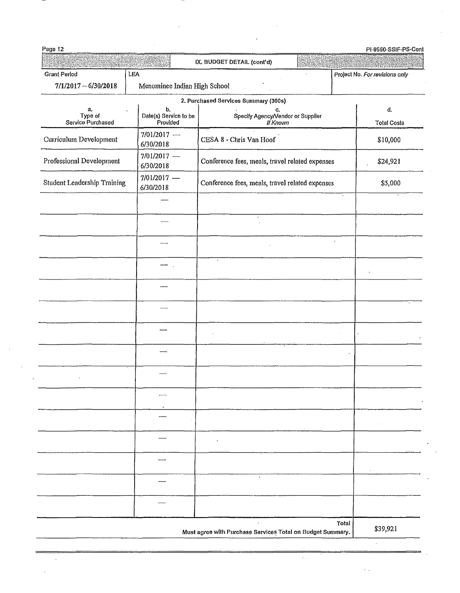| Page 12                            |                                         | IX, BUDGET DETAIL (cont'd)                                 |                                   |  |
|------------------------------------|-----------------------------------------|------------------------------------------------------------|-----------------------------------|--|
| <b>Grant Period</b>                | LEA                                     |                                                            | Project No. For revisions only    |  |
| $7/1/2017 - 6/30/2018$             | Menominee Indian High School            |                                                            |                                   |  |
|                                    |                                         | 2. Purchased Services Summary (300s)                       |                                   |  |
| а.<br>Type of<br>Service Purchased | b.<br>Date(s) Service to be<br>Provided | c.<br>Specify Agency/Vendor or Supplier<br>If Known        | $\mathbf d$<br><b>Total Costs</b> |  |
| Curriculum Development             | $7/01/2017 -$<br>6/30/2018              | CESA 8 - Chris Van Hoof                                    | \$10,000                          |  |
| Professional Development           | $7/01/2017$ -<br>6/30/2018              | Conference fees, meals, travel related expenses            | \$24,921                          |  |
| <b>Student Leadership Training</b> | $7/01/2017$ –<br>6/30/2018              | Conference fees, meals, travel related expenses            | \$5,000                           |  |
|                                    |                                         | $\bullet$                                                  |                                   |  |
|                                    |                                         |                                                            |                                   |  |
|                                    |                                         | $\cdot$                                                    |                                   |  |
|                                    |                                         |                                                            |                                   |  |
|                                    |                                         |                                                            |                                   |  |
|                                    |                                         |                                                            |                                   |  |
|                                    |                                         |                                                            |                                   |  |
|                                    |                                         |                                                            |                                   |  |
|                                    |                                         |                                                            |                                   |  |
|                                    |                                         |                                                            |                                   |  |
|                                    |                                         |                                                            |                                   |  |
|                                    |                                         | $\bullet$                                                  |                                   |  |
|                                    |                                         |                                                            |                                   |  |
|                                    |                                         | Must agree with Purchase Services Total on Budget Summary. | Total<br>\$39,921                 |  |

 $\epsilon_{\rm{max}}$ 

 $\frac{1}{\sqrt{2}}\int_{0}^{\pi}\frac{1}{\sqrt{2}}\left( \frac{1}{\sqrt{2}}\right) \left( \frac{1}{\sqrt{2}}\right) \frac{1}{\sqrt{2}}\left( \frac{1}{\sqrt{2}}\right) \left( \frac{1}{\sqrt{2}}\right) \frac{1}{\sqrt{2}}\left( \frac{1}{\sqrt{2}}\right) \left( \frac{1}{\sqrt{2}}\right) \frac{1}{\sqrt{2}}\left( \frac{1}{\sqrt{2}}\right) \frac{1}{\sqrt{2}}\left( \frac{1}{\sqrt{2}}\right) \frac{1}{\sqrt{2}}\left( \frac{1}{\sqrt{2}}\$ 

 $\frac{1}{2} \sum_{i=1}^{n} \frac{1}{2} \sum_{j=1}^{n} \frac{1}{2} \sum_{j=1}^{n} \frac{1}{2} \sum_{j=1}^{n} \frac{1}{2} \sum_{j=1}^{n} \frac{1}{2} \sum_{j=1}^{n} \frac{1}{2} \sum_{j=1}^{n} \frac{1}{2} \sum_{j=1}^{n} \frac{1}{2} \sum_{j=1}^{n} \frac{1}{2} \sum_{j=1}^{n} \frac{1}{2} \sum_{j=1}^{n} \frac{1}{2} \sum_{j=1}^{n} \frac{1}{2} \sum_{j=1}^{n$ 

 $\frac{1}{2} \frac{1}{2} \frac{1}{2} \frac{1}{2}$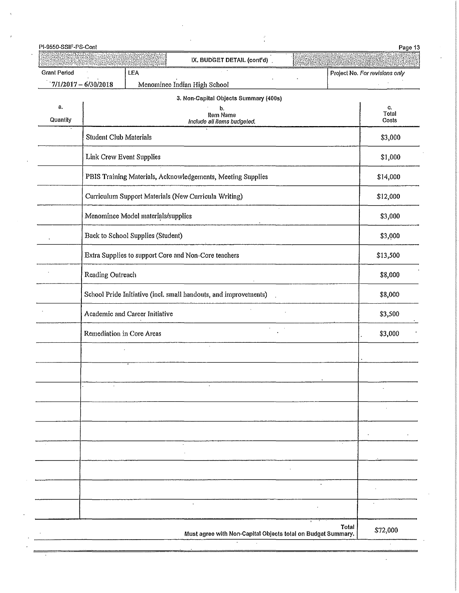| PI-9550-SSIF-PS-Cont |                        |                                    |                                                                  |           | Page 13                        |
|----------------------|------------------------|------------------------------------|------------------------------------------------------------------|-----------|--------------------------------|
|                      |                        |                                    | IX, BUDGET DETAIL (cont'd).                                      |           |                                |
| <b>Grant Period</b>  | $7/1/2017 - 6/30/2018$ | LEA                                | Menominee Indian High School                                     |           | Project No. For revisions only |
|                      |                        |                                    | 3. Non-Capital Objects Summary (400s)                            |           |                                |
| а.<br>Quantily       |                        |                                    | b.<br>Item Name<br>Include all items budgeted.                   |           | C,<br>Total<br>Costs           |
|                      | Student Club Materials |                                    |                                                                  |           | \$3,000                        |
|                      |                        | Link Crew Event Supplies           |                                                                  |           | \$1,000                        |
|                      |                        |                                    | PBIS Training Materials, Acknowledgements, Meeting Supplies      |           | \$14,000                       |
|                      |                        |                                    | Curriculum Support Materials (New Curricula Writing)             |           | \$12,000                       |
|                      |                        | Menominee Model materials/supplies |                                                                  |           | \$3,000                        |
|                      |                        | Back to School Supplies (Student)  |                                                                  |           | \$3,000                        |
|                      |                        |                                    | Extra Supplies to support Core and Non-Core teachers             |           | \$13,500                       |
|                      | Reading Outreach       |                                    |                                                                  |           | \$8,000                        |
|                      |                        |                                    | School Pride Initiative (incl. small handouts, and improvements) |           | \$8,000                        |
|                      |                        | Academic and Career Initiative     |                                                                  |           | \$3,500                        |
|                      |                        | Remediation in Core Areas          |                                                                  |           | \$3,000                        |
|                      |                        |                                    |                                                                  |           |                                |
|                      |                        |                                    |                                                                  |           |                                |
|                      |                        |                                    |                                                                  |           |                                |
|                      |                        |                                    |                                                                  |           |                                |
|                      |                        |                                    |                                                                  |           |                                |
|                      |                        |                                    |                                                                  |           |                                |
|                      |                        |                                    |                                                                  |           |                                |
|                      |                        |                                    |                                                                  | $\bullet$ |                                |
|                      |                        |                                    | $\ddot{\phantom{0}}$                                             |           | $\cdot$                        |
|                      |                        |                                    | Must agree with Non-Capital Objects total on Budget Summary.     |           | Total<br>\$72,000              |

 $\ddot{\phantom{a}}$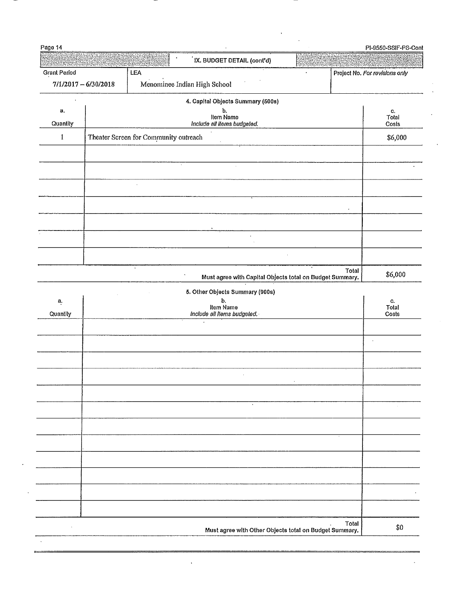| Page 14                                                                                        |                        |                                       | IX. BUDGET DETAIL (cont'd)                               |       | PI-9550-SSIF-PS-Cont           |
|------------------------------------------------------------------------------------------------|------------------------|---------------------------------------|----------------------------------------------------------|-------|--------------------------------|
| Grant Period                                                                                   |                        | LEA                                   |                                                          |       | Project No. For revisions only |
|                                                                                                | $7/1/2017 - 6/30/2018$ |                                       | Menominee Indian High School                             |       |                                |
|                                                                                                |                        |                                       | 4. Capital Objects Summary (500s)                        |       |                                |
| а.<br>Quantity                                                                                 |                        |                                       | b,<br>Item Name<br>Include all ilems budgeted.           |       | C.<br>Total<br>Costs           |
| $\mathbf{1}% _{T}\left  \mathbf{1}\right\rangle =\mathbf{1}_{T}\left  \mathbf{1}\right\rangle$ |                        | Theater Screen for Community outreach |                                                          |       | \$6,000                        |
|                                                                                                |                        |                                       |                                                          |       |                                |
|                                                                                                |                        |                                       | $\cdot$                                                  |       |                                |
|                                                                                                |                        | $\alpha$                              |                                                          |       |                                |
|                                                                                                |                        |                                       |                                                          |       |                                |
|                                                                                                |                        |                                       |                                                          |       |                                |
|                                                                                                |                        |                                       |                                                          |       |                                |
|                                                                                                |                        |                                       |                                                          |       |                                |
|                                                                                                |                        |                                       |                                                          |       |                                |
|                                                                                                |                        | $\epsilon$                            | Must agree with Capital Objects total on Budget Summary. | Total | \$6,000                        |
|                                                                                                |                        |                                       | 5. Other Objects Summary (900s)                          |       |                                |
| $a_{i}$                                                                                        |                        |                                       | b.<br>Item Name                                          |       | C.<br>Total                    |
| Quantity                                                                                       |                        |                                       | Include all Items budgeted.                              |       | Costs                          |
|                                                                                                |                        |                                       |                                                          |       |                                |
|                                                                                                |                        |                                       |                                                          |       |                                |
|                                                                                                |                        |                                       |                                                          |       |                                |
|                                                                                                |                        |                                       |                                                          |       |                                |
|                                                                                                |                        |                                       |                                                          |       |                                |
|                                                                                                |                        |                                       | $\ddot{\phantom{0}}$                                     |       |                                |
|                                                                                                |                        |                                       |                                                          |       |                                |
|                                                                                                |                        |                                       |                                                          |       |                                |
|                                                                                                |                        |                                       |                                                          |       |                                |
|                                                                                                |                        |                                       |                                                          |       |                                |
|                                                                                                |                        |                                       |                                                          |       |                                |
|                                                                                                |                        |                                       |                                                          |       |                                |
|                                                                                                |                        |                                       |                                                          |       |                                |
|                                                                                                |                        |                                       | Must agree with Other Objects total on Budget Summary.   | Total | \$0                            |

 $\ddot{\phantom{0}}$ 

 $\bar{\mathcal{A}}$